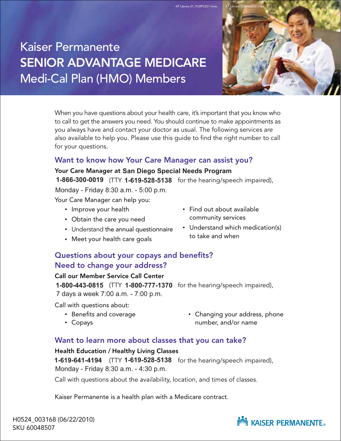KP Library 01\_PURPLE01 hires

# Kaiser Permanente SENIOR ADVANTAGE MEDICARE Medi-Cal Plan (HMO) Members



When you have questions about your health care, it's important that you know who to call to get the answers you need. You should continue to make appointments as you always have and contact your doctor as usual. The following services are also available to help you. Please use this guide to find the right number to call for your questions.

## Want to know how Your Care Manager can assist you?

Your Care Manager at San Diego Special Needs Program **1-866-300-0019** (TTY **1-619-528-5138** for the hearing/speech impaired),

Monday - Friday 8:30 a.m. - 5:00 p.m.

Your Care Manager can help you:

- Improve your health
- Obtain the care you need
- Understand the annual questionnaire
- Meet your health care goals
- Find out about available community services
- Understand which medication(s) to take and when

#### Questions about your copays and benefits? Need to change your address?

#### Call our Member Service Call Center

**1-800-443-0815** (TTY **1-800-777-1370** for the hearing/speech impaired), 7 days a week 7:00 a.m. - 7:00 p.m.

Call with questions about:

- Benefits and coverage
- Copays

• Changing your address, phone number, and/or name

#### Want to learn more about classes that you can take?

#### Health Education / Healthy Living Classes

**1-619-641-4194** (TTY **1-619-528-5138** for the hearing/speech impaired), Monday - Friday 8:30 a.m. - 4:30 p.m.

Call with questions about the availability, location, and times of classes.

Kaiser Permanente is a health plan with a Medicare contract.